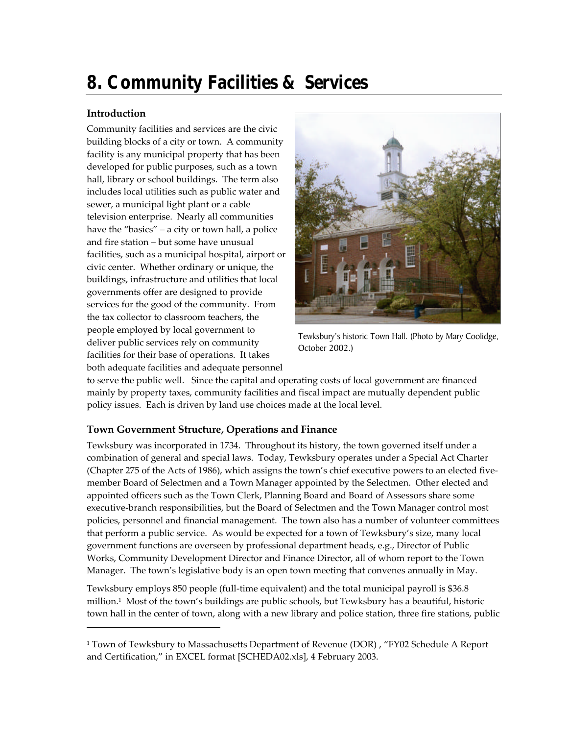# **8. Community Facilities & Services**

## **Introduction**

-

Community facilities and services are the civic building blocks of a city or town. A community facility is any municipal property that has been developed for public purposes, such as a town hall, library or school buildings. The term also includes local utilities such as public water and sewer, a municipal light plant or a cable television enterprise. Nearly all communities have the "basics" – a city or town hall, a police and fire station – but some have unusual facilities, such as a municipal hospital, airport or civic center. Whether ordinary or unique, the buildings, infrastructure and utilities that local governments offer are designed to provide services for the good of the community. From the tax collector to classroom teachers, the people employed by local government to deliver public services rely on community facilities for their base of operations. It takes both adequate facilities and adequate personnel



Tewksbury's historic Town Hall. (Photo by Mary Coolidge, October 2002.)

to serve the public well. Since the capital and operating costs of local government are financed mainly by property taxes, community facilities and fiscal impact are mutually dependent public policy issues. Each is driven by land use choices made at the local level.

## **Town Government Structure, Operations and Finance**

Tewksbury was incorporated in 1734. Throughout its history, the town governed itself under a combination of general and special laws. Today, Tewksbury operates under a Special Act Charter (Chapter 275 of the Acts of 1986), which assigns the town's chief executive powers to an elected fivemember Board of Selectmen and a Town Manager appointed by the Selectmen. Other elected and appointed officers such as the Town Clerk, Planning Board and Board of Assessors share some executive-branch responsibilities, but the Board of Selectmen and the Town Manager control most policies, personnel and financial management. The town also has a number of volunteer committees that perform a public service. As would be expected for a town of Tewksbury's size, many local government functions are overseen by professional department heads, e.g., Director of Public Works, Community Development Director and Finance Director, all of whom report to the Town Manager. The town's legislative body is an open town meeting that convenes annually in May.

Tewksbury employs 850 people (full-time equivalent) and the total municipal payroll is \$36.8 million.<sup>1</sup> Most of the town's buildings are public schools, but Tewksbury has a beautiful, historic town hall in the center of town, along with a new library and police station, three fire stations, public

<sup>1</sup> Town of Tewksbury to Massachusetts Department of Revenue (DOR) , "FY02 Schedule A Report and Certification," in EXCEL format [SCHEDA02.xls], 4 February 2003.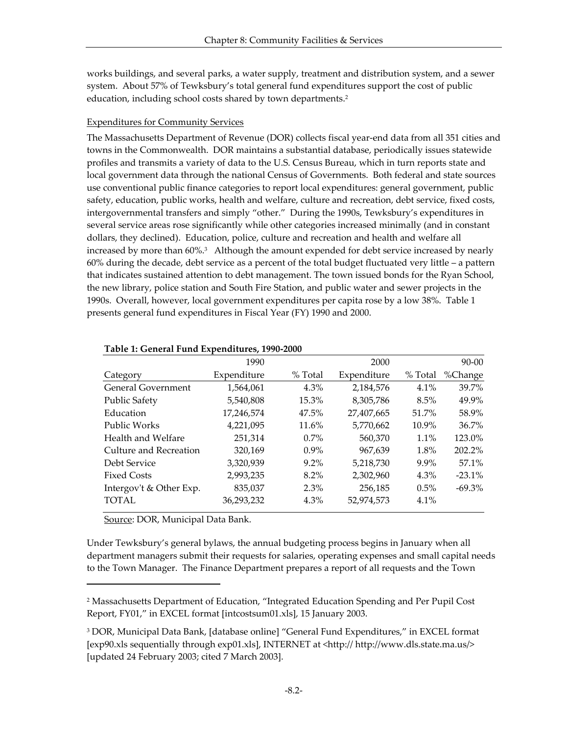works buildings, and several parks, a water supply, treatment and distribution system, and a sewer system. About 57% of Tewksbury's total general fund expenditures support the cost of public education, including school costs shared by town departments.<sup>2</sup>

#### Expenditures for Community Services

The Massachusetts Department of Revenue (DOR) collects fiscal year-end data from all 351 cities and towns in the Commonwealth. DOR maintains a substantial database, periodically issues statewide profiles and transmits a variety of data to the U.S. Census Bureau, which in turn reports state and local government data through the national Census of Governments. Both federal and state sources use conventional public finance categories to report local expenditures: general government, public safety, education, public works, health and welfare, culture and recreation, debt service, fixed costs, intergovernmental transfers and simply "other." During the 1990s, Tewksbury's expenditures in several service areas rose significantly while other categories increased minimally (and in constant dollars, they declined). Education, police, culture and recreation and health and welfare all increased by more than 60%.<sup>3</sup> Although the amount expended for debt service increased by nearly 60% during the decade, debt service as a percent of the total budget fluctuated very little – a pattern that indicates sustained attention to debt management. The town issued bonds for the Ryan School, the new library, police station and South Fire Station, and public water and sewer projects in the 1990s. Overall, however, local government expenditures per capita rose by a low 38%. Table 1 presents general fund expenditures in Fiscal Year (FY) 1990 and 2000.

| %Change   |
|-----------|
| $39.7\%$  |
| 49.9%     |
| 58.9%     |
| $36.7\%$  |
| 123.0%    |
| $202.2\%$ |
| 57.1%     |
| $-23.1\%$ |
| $-69.3\%$ |
|           |
|           |

#### **Table 1: General Fund Expenditures, 1990-2000**

Source: DOR, Municipal Data Bank.

-

Under Tewksbury's general bylaws, the annual budgeting process begins in January when all department managers submit their requests for salaries, operating expenses and small capital needs to the Town Manager. The Finance Department prepares a report of all requests and the Town

<sup>2</sup> Massachusetts Department of Education, "Integrated Education Spending and Per Pupil Cost Report, FY01," in EXCEL format [intcostsum01.xls], 15 January 2003.

<sup>3</sup> DOR, Municipal Data Bank, [database online] "General Fund Expenditures," in EXCEL format [exp90.xls sequentially through exp01.xls], INTERNET at <http://http://www.dls.state.ma.us/> [updated 24 February 2003; cited 7 March 2003].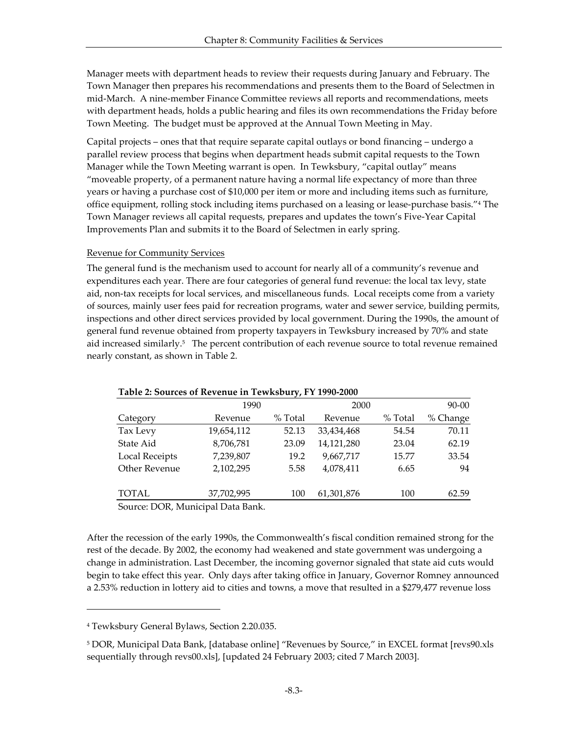Manager meets with department heads to review their requests during January and February. The Town Manager then prepares his recommendations and presents them to the Board of Selectmen in mid-March. A nine-member Finance Committee reviews all reports and recommendations, meets with department heads, holds a public hearing and files its own recommendations the Friday before Town Meeting. The budget must be approved at the Annual Town Meeting in May.

Capital projects – ones that that require separate capital outlays or bond financing – undergo a parallel review process that begins when department heads submit capital requests to the Town Manager while the Town Meeting warrant is open. In Tewksbury, "capital outlay" means "moveable property, of a permanent nature having a normal life expectancy of more than three years or having a purchase cost of \$10,000 per item or more and including items such as furniture, office equipment, rolling stock including items purchased on a leasing or lease-purchase basis."<sup>4</sup> The Town Manager reviews all capital requests, prepares and updates the town's Five-Year Capital Improvements Plan and submits it to the Board of Selectmen in early spring.

#### Revenue for Community Services

The general fund is the mechanism used to account for nearly all of a community's revenue and expenditures each year. There are four categories of general fund revenue: the local tax levy, state aid, non-tax receipts for local services, and miscellaneous funds. Local receipts come from a variety of sources, mainly user fees paid for recreation programs, water and sewer service, building permits, inspections and other direct services provided by local government. During the 1990s, the amount of general fund revenue obtained from property taxpayers in Tewksbury increased by 70% and state aid increased similarly.<sup>5</sup> The percent contribution of each revenue source to total revenue remained nearly constant, as shown in Table 2.

|                                  | 1990       |         | 2000       |         | $90 - 00$ |
|----------------------------------|------------|---------|------------|---------|-----------|
| Category                         | Revenue    | % Total | Revenue    | % Total | % Change  |
| Tax Levy                         | 19,654,112 | 52.13   | 33,434,468 | 54.54   | 70.11     |
| State Aid                        | 8,706,781  | 23.09   | 14,121,280 | 23.04   | 62.19     |
| Local Receipts                   | 7,239,807  | 19.2    | 9,667,717  | 15.77   | 33.54     |
| Other Revenue                    | 2,102,295  | 5.58    | 4,078,411  | 6.65    | 94        |
| TOTAL                            | 37,702,995 | 100     | 61,301,876 | 100     | 62.59     |
| $C = PQP M$ $\cdots$ $P$ $P$ $1$ |            |         |            |         |           |

#### **Table 2: Sources of Revenue in Tewksbury, FY 1990-2000**

Source: DOR, Municipal Data Bank.

After the recession of the early 1990s, the Commonwealth's fiscal condition remained strong for the rest of the decade. By 2002, the economy had weakened and state government was undergoing a change in administration. Last December, the incoming governor signaled that state aid cuts would begin to take effect this year. Only days after taking office in January, Governor Romney announced a 2.53% reduction in lottery aid to cities and towns, a move that resulted in a \$279,477 revenue loss

<sup>4</sup> Tewksbury General Bylaws, Section 2.20.035.

<sup>5</sup> DOR, Municipal Data Bank, [database online] "Revenues by Source," in EXCEL format [revs90.xls sequentially through revs00.xls], [updated 24 February 2003; cited 7 March 2003].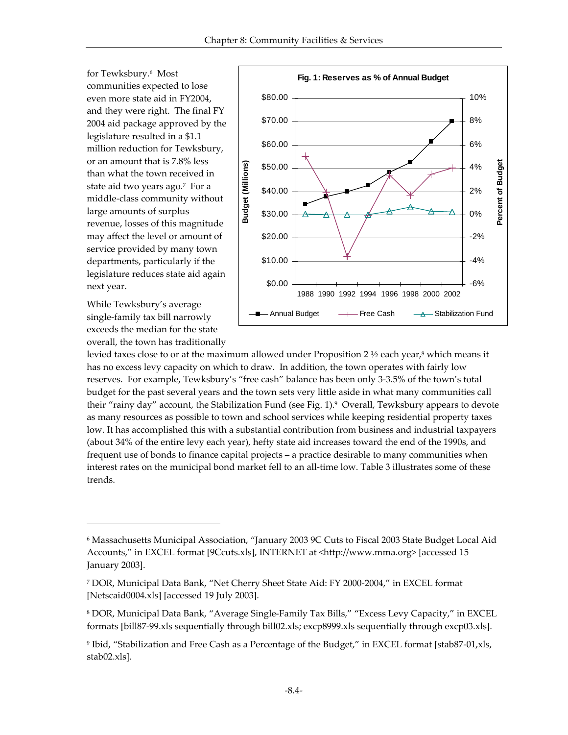for Tewksbury.<sup>6</sup> Most communities expected to lose even more state aid in FY2004, and they were right. The final FY 2004 aid package approved by the legislature resulted in a \$1.1 million reduction for Tewksbury, or an amount that is 7.8% less than what the town received in state aid two years ago.<sup>7</sup> For a middle-class community without large amounts of surplus revenue, losses of this magnitude may affect the level or amount of service provided by many town departments, particularly if the legislature reduces state aid again next year.

While Tewksbury's average single-family tax bill narrowly exceeds the median for the state overall, the town has traditionally

l



levied taxes close to or at the maximum allowed under Proposition 2  $\frac{1}{2}$  each year,<sup>8</sup> which means it has no excess levy capacity on which to draw. In addition, the town operates with fairly low reserves. For example, Tewksbury's "free cash" balance has been only 3-3.5% of the town's total budget for the past several years and the town sets very little aside in what many communities call their "rainy day" account, the Stabilization Fund (see Fig. 1).<sup>9</sup> Overall, Tewksbury appears to devote as many resources as possible to town and school services while keeping residential property taxes low. It has accomplished this with a substantial contribution from business and industrial taxpayers (about 34% of the entire levy each year), hefty state aid increases toward the end of the 1990s, and frequent use of bonds to finance capital projects – a practice desirable to many communities when interest rates on the municipal bond market fell to an all-time low. Table 3 illustrates some of these trends.

<sup>6</sup> Massachusetts Municipal Association, "January 2003 9C Cuts to Fiscal 2003 State Budget Local Aid Accounts," in EXCEL format [9Ccuts.xls], INTERNET at <http://www.mma.org> [accessed 15 January 2003].

<sup>7</sup> DOR, Municipal Data Bank, "Net Cherry Sheet State Aid: FY 2000-2004," in EXCEL format [Netscaid0004.xls] [accessed 19 July 2003].

<sup>8</sup> DOR, Municipal Data Bank, "Average Single-Family Tax Bills," "Excess Levy Capacity," in EXCEL formats [bill87-99.xls sequentially through bill02.xls; excp8999.xls sequentially through excp03.xls].

<sup>9</sup> Ibid, "Stabilization and Free Cash as a Percentage of the Budget," in EXCEL format [stab87-01,xls, stab02.xls].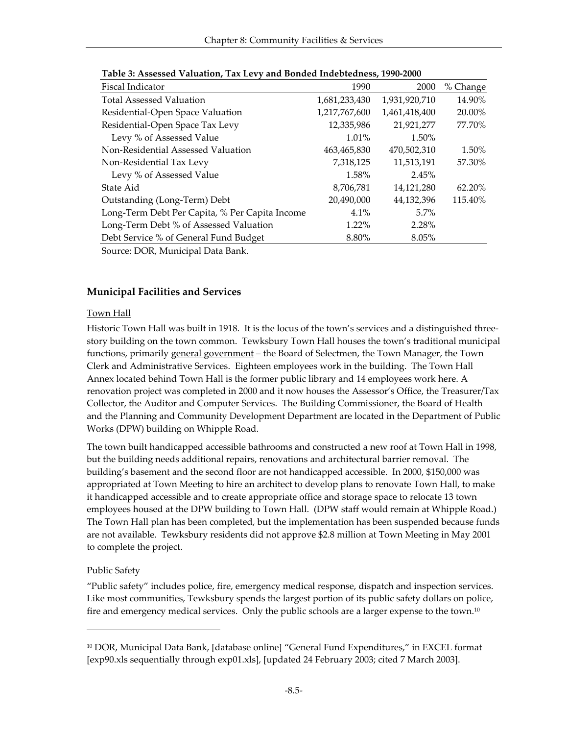| Fiscal Indicator                               | 1990          | 2000          | % Change |
|------------------------------------------------|---------------|---------------|----------|
| <b>Total Assessed Valuation</b>                | 1,681,233,430 | 1,931,920,710 | 14.90%   |
| Residential-Open Space Valuation               | 1,217,767,600 | 1,461,418,400 | 20.00%   |
| Residential-Open Space Tax Levy                | 12,335,986    | 21,921,277    | 77.70%   |
| Levy % of Assessed Value                       | 1.01%         | 1.50%         |          |
| Non-Residential Assessed Valuation             | 463,465,830   | 470,502,310   | 1.50%    |
| Non-Residential Tax Levy                       | 7,318,125     | 11,513,191    | 57.30%   |
| Levy % of Assessed Value                       | 1.58%         | 2.45%         |          |
| State Aid                                      | 8,706,781     | 14,121,280    | 62.20%   |
| Outstanding (Long-Term) Debt                   | 20,490,000    | 44,132,396    | 115.40%  |
| Long-Term Debt Per Capita, % Per Capita Income | 4.1%          | $5.7\%$       |          |
| Long-Term Debt % of Assessed Valuation         | 1.22%         | 2.28%         |          |
| Debt Service % of General Fund Budget          | 8.80%         | 8.05%         |          |
| P(1, 1)                                        |               |               |          |

| Table 3: Assessed Valuation, Tax Levy and Bonded Indebtedness, 1990-2000 |
|--------------------------------------------------------------------------|
|--------------------------------------------------------------------------|

Source: DOR, Municipal Data Bank.

## **Municipal Facilities and Services**

#### Town Hall

Historic Town Hall was built in 1918. It is the locus of the town's services and a distinguished threestory building on the town common. Tewksbury Town Hall houses the town's traditional municipal functions, primarily general government – the Board of Selectmen, the Town Manager, the Town Clerk and Administrative Services. Eighteen employees work in the building. The Town Hall Annex located behind Town Hall is the former public library and 14 employees work here. A renovation project was completed in 2000 and it now houses the Assessor's Office, the Treasurer/Tax Collector, the Auditor and Computer Services. The Building Commissioner, the Board of Health and the Planning and Community Development Department are located in the Department of Public Works (DPW) building on Whipple Road.

The town built handicapped accessible bathrooms and constructed a new roof at Town Hall in 1998, but the building needs additional repairs, renovations and architectural barrier removal. The building's basement and the second floor are not handicapped accessible. In 2000, \$150,000 was appropriated at Town Meeting to hire an architect to develop plans to renovate Town Hall, to make it handicapped accessible and to create appropriate office and storage space to relocate 13 town employees housed at the DPW building to Town Hall. (DPW staff would remain at Whipple Road.) The Town Hall plan has been completed, but the implementation has been suspended because funds are not available. Tewksbury residents did not approve \$2.8 million at Town Meeting in May 2001 to complete the project.

#### Public Safety

-

"Public safety" includes police, fire, emergency medical response, dispatch and inspection services. Like most communities, Tewksbury spends the largest portion of its public safety dollars on police, fire and emergency medical services. Only the public schools are a larger expense to the town.<sup>10</sup>

<sup>10</sup> DOR, Municipal Data Bank, [database online] "General Fund Expenditures," in EXCEL format [exp90.xls sequentially through exp01.xls], [updated 24 February 2003; cited 7 March 2003].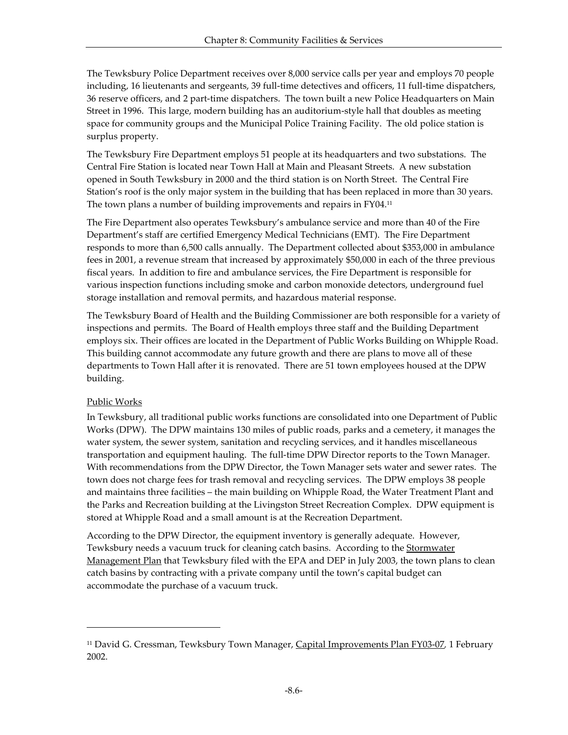The Tewksbury Police Department receives over 8,000 service calls per year and employs 70 people including, 16 lieutenants and sergeants, 39 full-time detectives and officers, 11 full-time dispatchers, 36 reserve officers, and 2 part-time dispatchers. The town built a new Police Headquarters on Main Street in 1996. This large, modern building has an auditorium-style hall that doubles as meeting space for community groups and the Municipal Police Training Facility. The old police station is surplus property.

The Tewksbury Fire Department employs 51 people at its headquarters and two substations. The Central Fire Station is located near Town Hall at Main and Pleasant Streets. A new substation opened in South Tewksbury in 2000 and the third station is on North Street. The Central Fire Station's roof is the only major system in the building that has been replaced in more than 30 years. The town plans a number of building improvements and repairs in FY04.<sup>11</sup>

The Fire Department also operates Tewksbury's ambulance service and more than 40 of the Fire Department's staff are certified Emergency Medical Technicians (EMT). The Fire Department responds to more than 6,500 calls annually. The Department collected about \$353,000 in ambulance fees in 2001, a revenue stream that increased by approximately \$50,000 in each of the three previous fiscal years. In addition to fire and ambulance services, the Fire Department is responsible for various inspection functions including smoke and carbon monoxide detectors, underground fuel storage installation and removal permits, and hazardous material response.

The Tewksbury Board of Health and the Building Commissioner are both responsible for a variety of inspections and permits. The Board of Health employs three staff and the Building Department employs six. Their offices are located in the Department of Public Works Building on Whipple Road. This building cannot accommodate any future growth and there are plans to move all of these departments to Town Hall after it is renovated. There are 51 town employees housed at the DPW building.

#### Public Works

-

In Tewksbury, all traditional public works functions are consolidated into one Department of Public Works (DPW). The DPW maintains 130 miles of public roads, parks and a cemetery, it manages the water system, the sewer system, sanitation and recycling services, and it handles miscellaneous transportation and equipment hauling. The full-time DPW Director reports to the Town Manager. With recommendations from the DPW Director, the Town Manager sets water and sewer rates. The town does not charge fees for trash removal and recycling services. The DPW employs 38 people and maintains three facilities – the main building on Whipple Road, the Water Treatment Plant and the Parks and Recreation building at the Livingston Street Recreation Complex. DPW equipment is stored at Whipple Road and a small amount is at the Recreation Department.

According to the DPW Director, the equipment inventory is generally adequate. However, Tewksbury needs a vacuum truck for cleaning catch basins. According to the <u>Stormwater</u> Management Plan that Tewksbury filed with the EPA and DEP in July 2003, the town plans to clean catch basins by contracting with a private company until the town's capital budget can accommodate the purchase of a vacuum truck.

<sup>11</sup> David G. Cressman, Tewksbury Town Manager, Capital Improvements Plan FY03-07*,* 1 February 2002.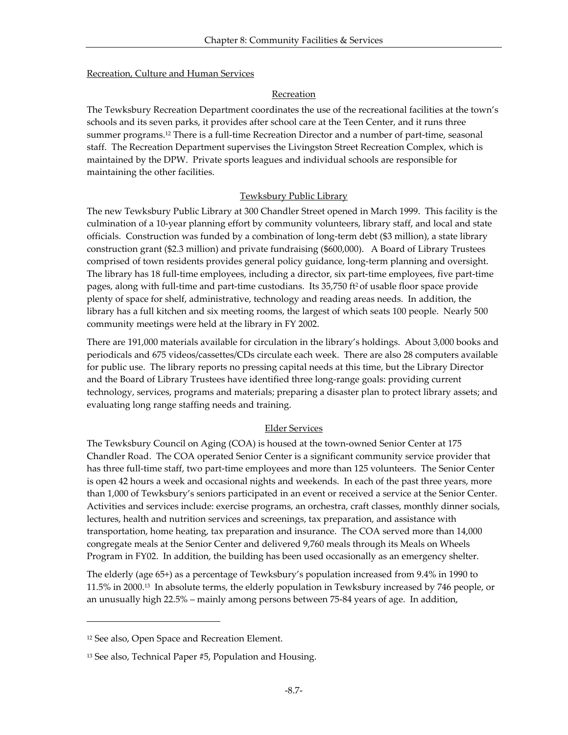#### Recreation, Culture and Human Services

#### Recreation

The Tewksbury Recreation Department coordinates the use of the recreational facilities at the town's schools and its seven parks, it provides after school care at the Teen Center, and it runs three summer programs.<sup>12</sup> There is a full-time Recreation Director and a number of part-time, seasonal staff. The Recreation Department supervises the Livingston Street Recreation Complex, which is maintained by the DPW. Private sports leagues and individual schools are responsible for maintaining the other facilities.

#### Tewksbury Public Library

The new Tewksbury Public Library at 300 Chandler Street opened in March 1999. This facility is the culmination of a 10-year planning effort by community volunteers, library staff, and local and state officials. Construction was funded by a combination of long-term debt (\$3 million), a state library construction grant (\$2.3 million) and private fundraising (\$600,000). A Board of Library Trustees comprised of town residents provides general policy guidance, long-term planning and oversight. The library has 18 full-time employees, including a director, six part-time employees, five part-time pages, along with full-time and part-time custodians. Its 35,750 ft<sup>2</sup> of usable floor space provide plenty of space for shelf, administrative, technology and reading areas needs. In addition, the library has a full kitchen and six meeting rooms, the largest of which seats 100 people. Nearly 500 community meetings were held at the library in FY 2002.

There are 191,000 materials available for circulation in the library's holdings. About 3,000 books and periodicals and 675 videos/cassettes/CDs circulate each week. There are also 28 computers available for public use. The library reports no pressing capital needs at this time, but the Library Director and the Board of Library Trustees have identified three long-range goals: providing current technology, services, programs and materials; preparing a disaster plan to protect library assets; and evaluating long range staffing needs and training.

#### Elder Services

The Tewksbury Council on Aging (COA) is housed at the town-owned Senior Center at 175 Chandler Road. The COA operated Senior Center is a significant community service provider that has three full-time staff, two part-time employees and more than 125 volunteers. The Senior Center is open 42 hours a week and occasional nights and weekends. In each of the past three years, more than 1,000 of Tewksbury's seniors participated in an event or received a service at the Senior Center. Activities and services include: exercise programs, an orchestra, craft classes, monthly dinner socials, lectures, health and nutrition services and screenings, tax preparation, and assistance with transportation, home heating, tax preparation and insurance. The COA served more than 14,000 congregate meals at the Senior Center and delivered 9,760 meals through its Meals on Wheels Program in FY02. In addition, the building has been used occasionally as an emergency shelter.

The elderly (age 65+) as a percentage of Tewksbury's population increased from 9.4% in 1990 to 11.5% in 2000.13 In absolute terms, the elderly population in Tewksbury increased by 746 people, or an unusually high 22.5% – mainly among persons between 75-84 years of age. In addition,

<sup>12</sup> See also, Open Space and Recreation Element.

<sup>13</sup> See also, Technical Paper #5, Population and Housing.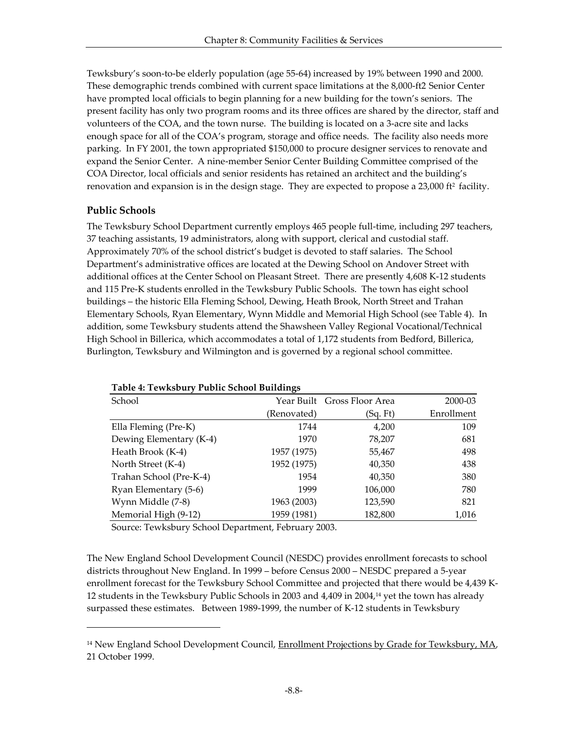Tewksbury's soon-to-be elderly population (age 55-64) increased by 19% between 1990 and 2000. These demographic trends combined with current space limitations at the 8,000-ft2 Senior Center have prompted local officials to begin planning for a new building for the town's seniors. The present facility has only two program rooms and its three offices are shared by the director, staff and volunteers of the COA, and the town nurse. The building is located on a 3-acre site and lacks enough space for all of the COA's program, storage and office needs. The facility also needs more parking. In FY 2001, the town appropriated \$150,000 to procure designer services to renovate and expand the Senior Center. A nine-member Senior Center Building Committee comprised of the COA Director, local officials and senior residents has retained an architect and the building's renovation and expansion is in the design stage. They are expected to propose a  $23,000$  ft<sup>2</sup> facility.

## **Public Schools**

-

The Tewksbury School Department currently employs 465 people full-time, including 297 teachers, 37 teaching assistants, 19 administrators, along with support, clerical and custodial staff. Approximately 70% of the school district's budget is devoted to staff salaries. The School Department's administrative offices are located at the Dewing School on Andover Street with additional offices at the Center School on Pleasant Street. There are presently 4,608 K-12 students and 115 Pre-K students enrolled in the Tewksbury Public Schools. The town has eight school buildings – the historic Ella Fleming School, Dewing, Heath Brook, North Street and Trahan Elementary Schools, Ryan Elementary, Wynn Middle and Memorial High School (see Table 4). In addition, some Tewksbury students attend the Shawsheen Valley Regional Vocational/Technical High School in Billerica, which accommodates a total of 1,172 students from Bedford, Billerica, Burlington, Tewksbury and Wilmington and is governed by a regional school committee.

| School                  |             | Year Built Gross Floor Area | 2000-03    |
|-------------------------|-------------|-----------------------------|------------|
|                         | (Renovated) | (Sq. Ft)                    | Enrollment |
| Ella Fleming (Pre-K)    | 1744        | 4,200                       | 109        |
| Dewing Elementary (K-4) | 1970        | 78,207                      | 681        |
| Heath Brook (K-4)       | 1957 (1975) | 55,467                      | 498        |
| North Street (K-4)      | 1952 (1975) | 40,350                      | 438        |
| Trahan School (Pre-K-4) | 1954        | 40,350                      | 380        |
| Ryan Elementary (5-6)   | 1999        | 106,000                     | 780        |
| Wynn Middle (7-8)       | 1963 (2003) | 123,590                     | 821        |
| Memorial High (9-12)    | 1959 (1981) | 182,800                     | 1,016      |

| Table 4: Tewksbury Public School Buildings |  |  |
|--------------------------------------------|--|--|
|                                            |  |  |

Source: Tewksbury School Department, February 2003.

The New England School Development Council (NESDC) provides enrollment forecasts to school districts throughout New England. In 1999 – before Census 2000 – NESDC prepared a 5-year enrollment forecast for the Tewksbury School Committee and projected that there would be 4,439 K-12 students in the Tewksbury Public Schools in 2003 and 4,409 in 2004,14 yet the town has already surpassed these estimates. Between 1989-1999, the number of K-12 students in Tewksbury

<sup>&</sup>lt;sup>14</sup> New England School Development Council, Enrollment Projections by Grade for Tewksbury, MA, 21 October 1999.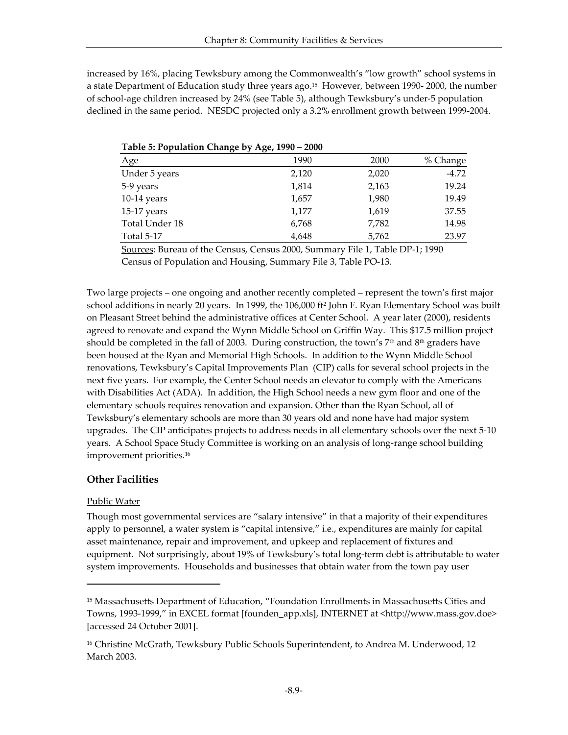increased by 16%, placing Tewksbury among the Commonwealth's "low growth" school systems in a state Department of Education study three years ago.15 However, between 1990- 2000, the number of school-age children increased by 24% (see Table 5), although Tewksbury's under-5 population declined in the same period. NESDC projected only a 3.2% enrollment growth between 1999-2004.

| $\sigma$ $\sim$ $\sigma$ | $\sigma$ |       |          |
|--------------------------|----------|-------|----------|
| Age                      | 1990     | 2000  | % Change |
| Under 5 years            | 2,120    | 2,020 | $-4.72$  |
| 5-9 years                | 1,814    | 2,163 | 19.24    |
| $10-14$ years            | 1,657    | 1,980 | 19.49    |
| 15-17 years              | 1,177    | 1,619 | 37.55    |
| Total Under 18           | 6,768    | 7,782 | 14.98    |
| <b>Total 5-17</b>        | 4,648    | 5,762 | 23.97    |

|  | Table 5: Population Change by Age, 1990 - 2000 |  |  |
|--|------------------------------------------------|--|--|
|  |                                                |  |  |

Sources: Bureau of the Census, Census 2000, Summary File 1, Table DP-1; 1990 Census of Population and Housing, Summary File 3, Table PO-13.

Two large projects – one ongoing and another recently completed – represent the town's first major school additions in nearly 20 years. In 1999, the 106,000 ft<sup>2</sup> John F. Ryan Elementary School was built on Pleasant Street behind the administrative offices at Center School. A year later (2000), residents agreed to renovate and expand the Wynn Middle School on Griffin Way. This \$17.5 million project should be completed in the fall of 2003. During construction, the town's  $7<sup>th</sup>$  and  $8<sup>th</sup>$  graders have been housed at the Ryan and Memorial High Schools. In addition to the Wynn Middle School renovations, Tewksbury's Capital Improvements Plan (CIP) calls for several school projects in the next five years. For example, the Center School needs an elevator to comply with the Americans with Disabilities Act (ADA). In addition, the High School needs a new gym floor and one of the elementary schools requires renovation and expansion. Other than the Ryan School, all of Tewksbury's elementary schools are more than 30 years old and none have had major system upgrades. The CIP anticipates projects to address needs in all elementary schools over the next 5-10 years. A School Space Study Committee is working on an analysis of long-range school building improvement priorities.<sup>16</sup>

#### **Other Facilities**

#### Public Water

-

Though most governmental services are "salary intensive" in that a majority of their expenditures apply to personnel, a water system is "capital intensive," i.e., expenditures are mainly for capital asset maintenance, repair and improvement, and upkeep and replacement of fixtures and equipment. Not surprisingly, about 19% of Tewksbury's total long-term debt is attributable to water system improvements. Households and businesses that obtain water from the town pay user

<sup>15</sup> Massachusetts Department of Education, "Foundation Enrollments in Massachusetts Cities and Towns, 1993-1999," in EXCEL format [founden\_app.xls], INTERNET at <http://www.mass.gov.doe> [accessed 24 October 2001].

<sup>&</sup>lt;sup>16</sup> Christine McGrath, Tewksbury Public Schools Superintendent, to Andrea M. Underwood, 12 March 2003.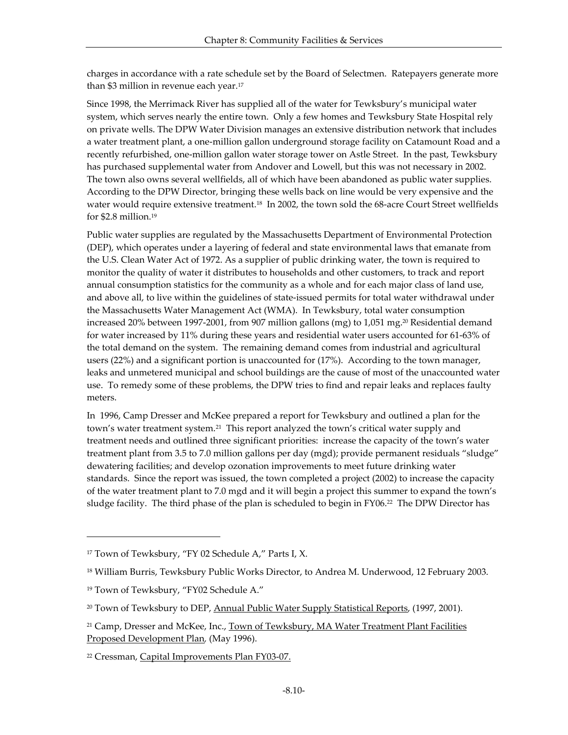charges in accordance with a rate schedule set by the Board of Selectmen. Ratepayers generate more than \$3 million in revenue each year.<sup>17</sup>

Since 1998, the Merrimack River has supplied all of the water for Tewksbury's municipal water system, which serves nearly the entire town. Only a few homes and Tewksbury State Hospital rely on private wells. The DPW Water Division manages an extensive distribution network that includes a water treatment plant, a one-million gallon underground storage facility on Catamount Road and a recently refurbished, one-million gallon water storage tower on Astle Street. In the past, Tewksbury has purchased supplemental water from Andover and Lowell, but this was not necessary in 2002. The town also owns several wellfields, all of which have been abandoned as public water supplies. According to the DPW Director, bringing these wells back on line would be very expensive and the water would require extensive treatment.<sup>18</sup> In 2002, the town sold the 68-acre Court Street wellfields for \$2.8 million.<sup>19</sup>

Public water supplies are regulated by the Massachusetts Department of Environmental Protection (DEP), which operates under a layering of federal and state environmental laws that emanate from the U.S. Clean Water Act of 1972. As a supplier of public drinking water, the town is required to monitor the quality of water it distributes to households and other customers, to track and report annual consumption statistics for the community as a whole and for each major class of land use, and above all, to live within the guidelines of state-issued permits for total water withdrawal under the Massachusetts Water Management Act (WMA). In Tewksbury, total water consumption increased 20% between 1997-2001, from 907 million gallons (mg) to 1,051 mg.<sup>20</sup> Residential demand for water increased by 11% during these years and residential water users accounted for 61-63% of the total demand on the system. The remaining demand comes from industrial and agricultural users (22%) and a significant portion is unaccounted for (17%). According to the town manager, leaks and unmetered municipal and school buildings are the cause of most of the unaccounted water use. To remedy some of these problems, the DPW tries to find and repair leaks and replaces faulty meters.

In 1996, Camp Dresser and McKee prepared a report for Tewksbury and outlined a plan for the town's water treatment system.<sup>21</sup> This report analyzed the town's critical water supply and treatment needs and outlined three significant priorities: increase the capacity of the town's water treatment plant from 3.5 to 7.0 million gallons per day (mgd); provide permanent residuals "sludge" dewatering facilities; and develop ozonation improvements to meet future drinking water standards. Since the report was issued, the town completed a project (2002) to increase the capacity of the water treatment plant to 7.0 mgd and it will begin a project this summer to expand the town's sludge facility. The third phase of the plan is scheduled to begin in FY06.<sup>22</sup> The DPW Director has

l

<sup>17</sup> Town of Tewksbury, "FY 02 Schedule A," Parts I, X.

<sup>&</sup>lt;sup>18</sup> William Burris, Tewksbury Public Works Director, to Andrea M. Underwood, 12 February 2003.

<sup>19</sup> Town of Tewksbury, "FY02 Schedule A."

<sup>&</sup>lt;sup>20</sup> Town of Tewksbury to DEP, Annual Public Water Supply Statistical Reports, (1997, 2001).

<sup>&</sup>lt;sup>21</sup> Camp, Dresser and McKee, Inc., Town of Tewksbury, MA Water Treatment Plant Facilities Proposed Development Plan*,* (May 1996).

<sup>22</sup> Cressman, Capital Improvements Plan FY03-07.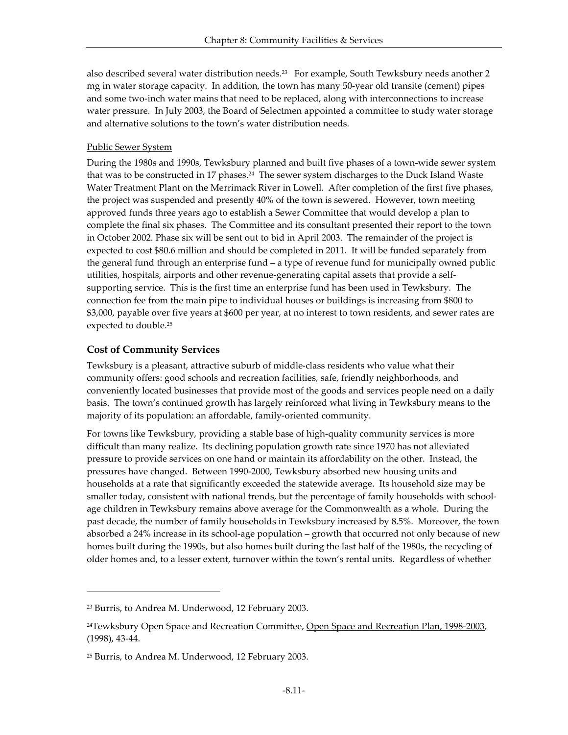also described several water distribution needs.<sup>23</sup> For example, South Tewksbury needs another 2 mg in water storage capacity. In addition, the town has many 50-year old transite (cement) pipes and some two-inch water mains that need to be replaced, along with interconnections to increase water pressure. In July 2003, the Board of Selectmen appointed a committee to study water storage and alternative solutions to the town's water distribution needs.

#### Public Sewer System

During the 1980s and 1990s, Tewksbury planned and built five phases of a town-wide sewer system that was to be constructed in 17 phases.<sup>24</sup> The sewer system discharges to the Duck Island Waste Water Treatment Plant on the Merrimack River in Lowell. After completion of the first five phases, the project was suspended and presently 40% of the town is sewered. However, town meeting approved funds three years ago to establish a Sewer Committee that would develop a plan to complete the final six phases. The Committee and its consultant presented their report to the town in October 2002. Phase six will be sent out to bid in April 2003. The remainder of the project is expected to cost \$80.6 million and should be completed in 2011. It will be funded separately from the general fund through an enterprise fund – a type of revenue fund for municipally owned public utilities, hospitals, airports and other revenue-generating capital assets that provide a selfsupporting service. This is the first time an enterprise fund has been used in Tewksbury. The connection fee from the main pipe to individual houses or buildings is increasing from \$800 to \$3,000, payable over five years at \$600 per year, at no interest to town residents, and sewer rates are expected to double.<sup>25</sup>

## **Cost of Community Services**

Tewksbury is a pleasant, attractive suburb of middle-class residents who value what their community offers: good schools and recreation facilities, safe, friendly neighborhoods, and conveniently located businesses that provide most of the goods and services people need on a daily basis. The town's continued growth has largely reinforced what living in Tewksbury means to the majority of its population: an affordable, family-oriented community.

For towns like Tewksbury, providing a stable base of high-quality community services is more difficult than many realize. Its declining population growth rate since 1970 has not alleviated pressure to provide services on one hand or maintain its affordability on the other. Instead, the pressures have changed. Between 1990-2000, Tewksbury absorbed new housing units and households at a rate that significantly exceeded the statewide average. Its household size may be smaller today, consistent with national trends, but the percentage of family households with schoolage children in Tewksbury remains above average for the Commonwealth as a whole. During the past decade, the number of family households in Tewksbury increased by 8.5%. Moreover, the town absorbed a 24% increase in its school-age population – growth that occurred not only because of new homes built during the 1990s, but also homes built during the last half of the 1980s, the recycling of older homes and, to a lesser extent, turnover within the town's rental units. Regardless of whether

<sup>23</sup> Burris, to Andrea M. Underwood, 12 February 2003.

<sup>24</sup>Tewksbury Open Space and Recreation Committee, Open Space and Recreation Plan, 1998-2003*,*  (1998), 43-44.

<sup>25</sup> Burris, to Andrea M. Underwood, 12 February 2003.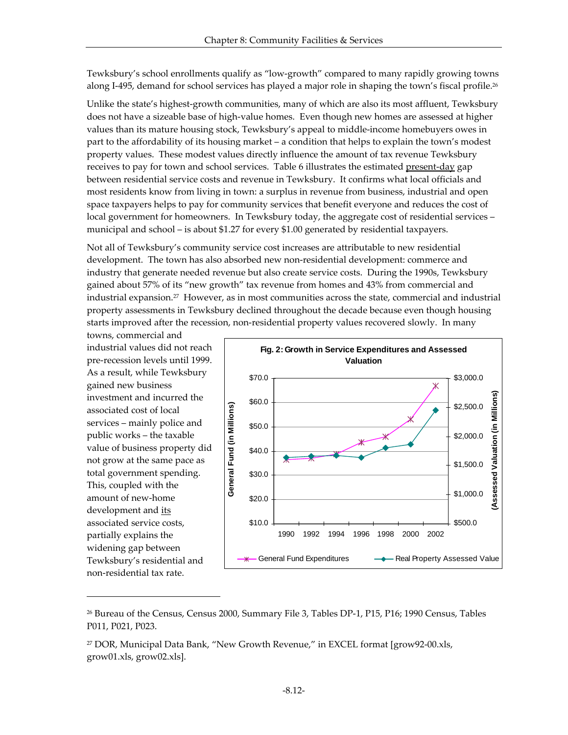Tewksbury's school enrollments qualify as "low-growth" compared to many rapidly growing towns along I-495, demand for school services has played a major role in shaping the town's fiscal profile.<sup>26</sup>

Unlike the state's highest-growth communities, many of which are also its most affluent, Tewksbury does not have a sizeable base of high-value homes. Even though new homes are assessed at higher values than its mature housing stock, Tewksbury's appeal to middle-income homebuyers owes in part to the affordability of its housing market – a condition that helps to explain the town's modest property values. These modest values directly influence the amount of tax revenue Tewksbury receives to pay for town and school services. Table 6 illustrates the estimated present-day gap between residential service costs and revenue in Tewksbury. It confirms what local officials and most residents know from living in town: a surplus in revenue from business, industrial and open space taxpayers helps to pay for community services that benefit everyone and reduces the cost of local government for homeowners. In Tewksbury today, the aggregate cost of residential services – municipal and school – is about \$1.27 for every \$1.00 generated by residential taxpayers.

Not all of Tewksbury's community service cost increases are attributable to new residential development. The town has also absorbed new non-residential development: commerce and industry that generate needed revenue but also create service costs. During the 1990s, Tewksbury gained about 57% of its "new growth" tax revenue from homes and 43% from commercial and industrial expansion.27 However, as in most communities across the state, commercial and industrial property assessments in Tewksbury declined throughout the decade because even though housing starts improved after the recession, non-residential property values recovered slowly. In many

towns, commercial and industrial values did not reach pre-recession levels until 1999. As a result, while Tewksbury gained new business investment and incurred the associated cost of local services – mainly police and public works – the taxable value of business property did not grow at the same pace as total government spending. This, coupled with the amount of new-home development and its associated service costs, partially explains the widening gap between Tewksbury's residential and non-residential tax rate.



<sup>26</sup> Bureau of the Census, Census 2000, Summary File 3, Tables DP-1, P15, P16; 1990 Census, Tables P011, P021, P023.

<sup>27</sup> DOR, Municipal Data Bank, "New Growth Revenue," in EXCEL format [grow92-00.xls, grow01.xls, grow02.xls].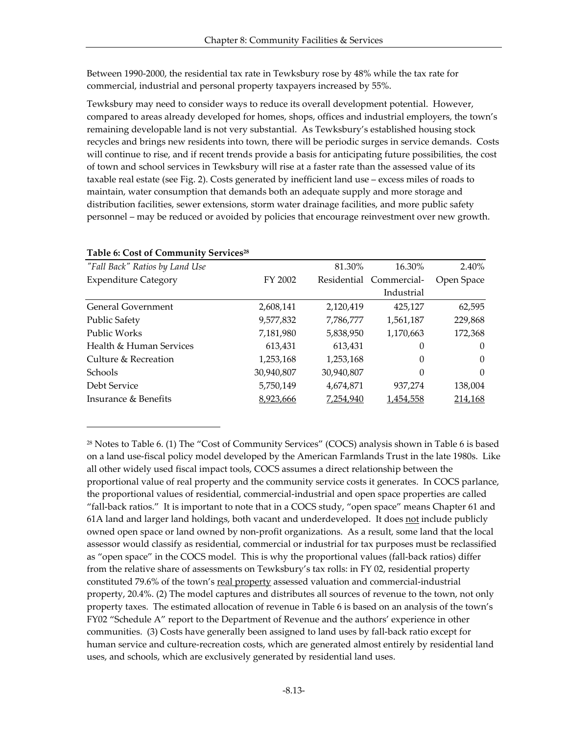Between 1990-2000, the residential tax rate in Tewksbury rose by 48% while the tax rate for commercial, industrial and personal property taxpayers increased by 55%.

Tewksbury may need to consider ways to reduce its overall development potential. However, compared to areas already developed for homes, shops, offices and industrial employers, the town's remaining developable land is not very substantial. As Tewksbury's established housing stock recycles and brings new residents into town, there will be periodic surges in service demands. Costs will continue to rise, and if recent trends provide a basis for anticipating future possibilities, the cost of town and school services in Tewksbury will rise at a faster rate than the assessed value of its taxable real estate (see Fig. 2). Costs generated by inefficient land use – excess miles of roads to maintain, water consumption that demands both an adequate supply and more storage and distribution facilities, sewer extensions, storm water drainage facilities, and more public safety personnel – may be reduced or avoided by policies that encourage reinvestment over new growth.

| "Fall Back" Ratios by Land Use |            | 81.30%     | 16.30%                  | 2.40%      |
|--------------------------------|------------|------------|-------------------------|------------|
| <b>Expenditure Category</b>    | FY 2002    |            | Residential Commercial- | Open Space |
|                                |            |            | Industrial              |            |
| <b>General Government</b>      | 2,608,141  | 2,120,419  | 425,127                 | 62,595     |
| <b>Public Safety</b>           | 9,577,832  | 7,786,777  | 1,561,187               | 229,868    |
| Public Works                   | 7,181,980  | 5,838,950  | 1,170,663               | 172,368    |
| Health & Human Services        | 613,431    | 613,431    | 0                       | $\Omega$   |
| Culture & Recreation           | 1,253,168  | 1,253,168  | $\theta$                | $\Omega$   |
| Schools                        | 30,940,807 | 30,940,807 | 0                       | $\Omega$   |
| Debt Service                   | 5,750,149  | 4,674,871  | 937,274                 | 138,004    |
| Insurance & Benefits           | 8,923,666  | 7,254,940  | 1,454,558               | 214,168    |
|                                |            |            |                         |            |

#### **Table 6: Cost of Community Services<sup>28</sup>**

l

<sup>28</sup> Notes to Table 6. (1) The "Cost of Community Services" (COCS) analysis shown in Table 6 is based on a land use-fiscal policy model developed by the American Farmlands Trust in the late 1980s. Like all other widely used fiscal impact tools, COCS assumes a direct relationship between the proportional value of real property and the community service costs it generates. In COCS parlance, the proportional values of residential, commercial-industrial and open space properties are called "fall-back ratios." It is important to note that in a COCS study, "open space" means Chapter 61 and 61A land and larger land holdings, both vacant and underdeveloped. It does not include publicly owned open space or land owned by non-profit organizations. As a result, some land that the local assessor would classify as residential, commercial or industrial for tax purposes must be reclassified as "open space" in the COCS model. This is why the proportional values (fall-back ratios) differ from the relative share of assessments on Tewksbury's tax rolls: in FY 02, residential property constituted 79.6% of the town's real property assessed valuation and commercial-industrial property, 20.4%. (2) The model captures and distributes all sources of revenue to the town, not only property taxes. The estimated allocation of revenue in Table 6 is based on an analysis of the town's FY02 "Schedule A" report to the Department of Revenue and the authors' experience in other communities. (3) Costs have generally been assigned to land uses by fall-back ratio except for human service and culture-recreation costs, which are generated almost entirely by residential land uses, and schools, which are exclusively generated by residential land uses.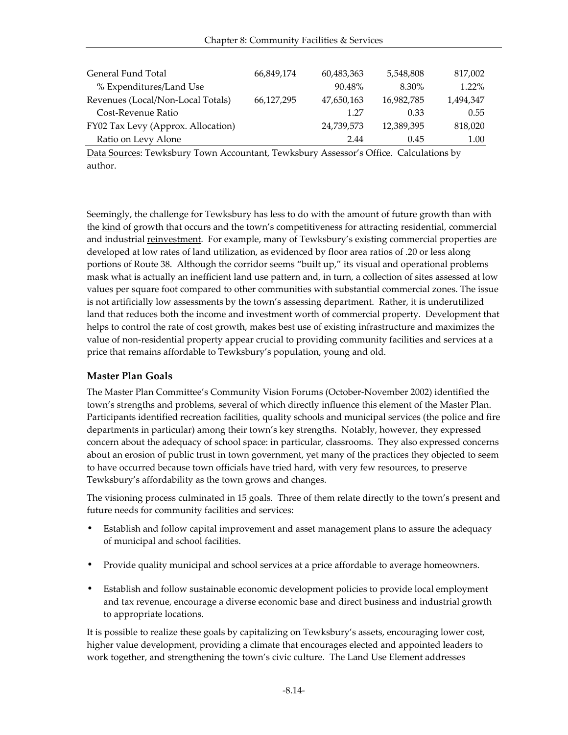| General Fund Total                 | 66,849,174 | 60,483,363 | 5,548,808  | 817,002   |
|------------------------------------|------------|------------|------------|-----------|
| % Expenditures/Land Use            |            | 90.48%     | 8.30%      | 1.22%     |
| Revenues (Local/Non-Local Totals)  | 66,127,295 | 47,650,163 | 16,982,785 | 1.494.347 |
| Cost-Revenue Ratio                 |            | 1.27       | 0.33       | 0.55      |
| FY02 Tax Levy (Approx. Allocation) |            | 24,739,573 | 12,389,395 | 818,020   |
| Ratio on Levy Alone                |            | 2.44       | 0.45       | 1.00      |

Data Sources: Tewksbury Town Accountant, Tewksbury Assessor's Office. Calculations by author.

Seemingly, the challenge for Tewksbury has less to do with the amount of future growth than with the kind of growth that occurs and the town's competitiveness for attracting residential, commercial and industrial <u>reinvestment</u>. For example, many of Tewksbury's existing commercial properties are developed at low rates of land utilization, as evidenced by floor area ratios of .20 or less along portions of Route 38. Although the corridor seems "built up," its visual and operational problems mask what is actually an inefficient land use pattern and, in turn, a collection of sites assessed at low values per square foot compared to other communities with substantial commercial zones. The issue is not artificially low assessments by the town's assessing department. Rather, it is underutilized land that reduces both the income and investment worth of commercial property. Development that helps to control the rate of cost growth, makes best use of existing infrastructure and maximizes the value of non-residential property appear crucial to providing community facilities and services at a price that remains affordable to Tewksbury's population, young and old.

#### **Master Plan Goals**

The Master Plan Committee's Community Vision Forums (October-November 2002) identified the town's strengths and problems, several of which directly influence this element of the Master Plan. Participants identified recreation facilities, quality schools and municipal services (the police and fire departments in particular) among their town's key strengths. Notably, however, they expressed concern about the adequacy of school space: in particular, classrooms. They also expressed concerns about an erosion of public trust in town government, yet many of the practices they objected to seem to have occurred because town officials have tried hard, with very few resources, to preserve Tewksbury's affordability as the town grows and changes.

The visioning process culminated in 15 goals. Three of them relate directly to the town's present and future needs for community facilities and services:

- Establish and follow capital improvement and asset management plans to assure the adequacy of municipal and school facilities.
- Provide quality municipal and school services at a price affordable to average homeowners.
- Establish and follow sustainable economic development policies to provide local employment and tax revenue, encourage a diverse economic base and direct business and industrial growth to appropriate locations.

It is possible to realize these goals by capitalizing on Tewksbury's assets, encouraging lower cost, higher value development, providing a climate that encourages elected and appointed leaders to work together, and strengthening the town's civic culture. The Land Use Element addresses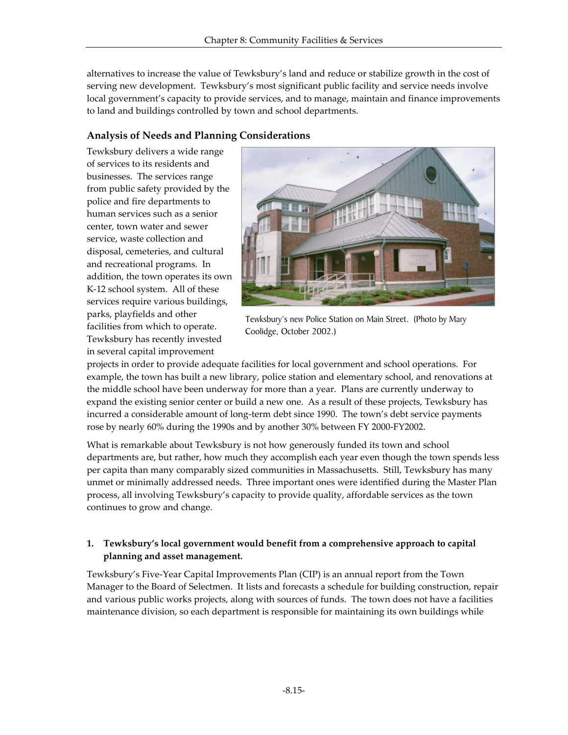alternatives to increase the value of Tewksbury's land and reduce or stabilize growth in the cost of serving new development. Tewksbury's most significant public facility and service needs involve local government's capacity to provide services, and to manage, maintain and finance improvements to land and buildings controlled by town and school departments.

## **Analysis of Needs and Planning Considerations**

Tewksbury delivers a wide range of services to its residents and businesses. The services range from public safety provided by the police and fire departments to human services such as a senior center, town water and sewer service, waste collection and disposal, cemeteries, and cultural and recreational programs. In addition, the town operates its own K-12 school system. All of these services require various buildings, parks, playfields and other facilities from which to operate. Tewksbury has recently invested in several capital improvement



Tewksbury's new Police Station on Main Street. (Photo by Mary Coolidge, October 2002.)

projects in order to provide adequate facilities for local government and school operations. For example, the town has built a new library, police station and elementary school, and renovations at the middle school have been underway for more than a year. Plans are currently underway to expand the existing senior center or build a new one. As a result of these projects, Tewksbury has incurred a considerable amount of long-term debt since 1990. The town's debt service payments rose by nearly 60% during the 1990s and by another 30% between FY 2000-FY2002.

What is remarkable about Tewksbury is not how generously funded its town and school departments are, but rather, how much they accomplish each year even though the town spends less per capita than many comparably sized communities in Massachusetts. Still, Tewksbury has many unmet or minimally addressed needs. Three important ones were identified during the Master Plan process, all involving Tewksbury's capacity to provide quality, affordable services as the town continues to grow and change.

## **1. Tewksbury's local government would benefit from a comprehensive approach to capital planning and asset management.**

Tewksbury's Five-Year Capital Improvements Plan (CIP) is an annual report from the Town Manager to the Board of Selectmen. It lists and forecasts a schedule for building construction, repair and various public works projects, along with sources of funds. The town does not have a facilities maintenance division, so each department is responsible for maintaining its own buildings while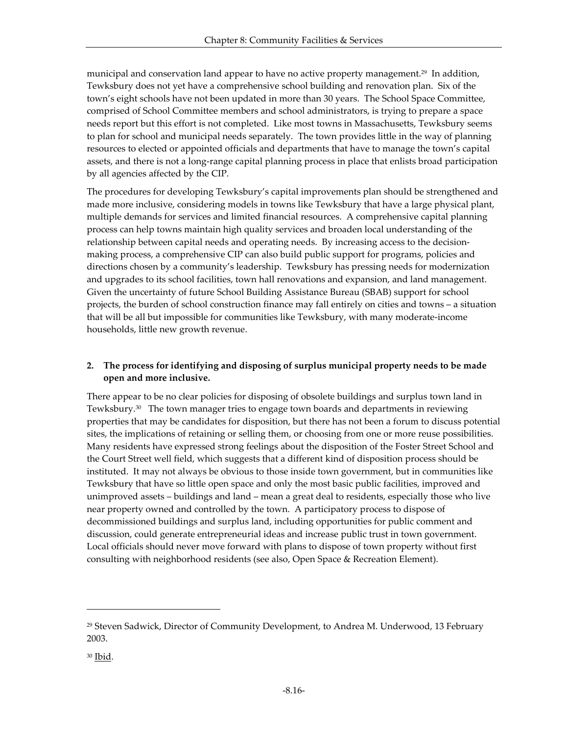municipal and conservation land appear to have no active property management.<sup>29</sup> In addition, Tewksbury does not yet have a comprehensive school building and renovation plan. Six of the town's eight schools have not been updated in more than 30 years. The School Space Committee, comprised of School Committee members and school administrators, is trying to prepare a space needs report but this effort is not completed. Like most towns in Massachusetts, Tewksbury seems to plan for school and municipal needs separately. The town provides little in the way of planning resources to elected or appointed officials and departments that have to manage the town's capital assets, and there is not a long-range capital planning process in place that enlists broad participation by all agencies affected by the CIP.

The procedures for developing Tewksbury's capital improvements plan should be strengthened and made more inclusive, considering models in towns like Tewksbury that have a large physical plant, multiple demands for services and limited financial resources. A comprehensive capital planning process can help towns maintain high quality services and broaden local understanding of the relationship between capital needs and operating needs. By increasing access to the decisionmaking process, a comprehensive CIP can also build public support for programs, policies and directions chosen by a community's leadership. Tewksbury has pressing needs for modernization and upgrades to its school facilities, town hall renovations and expansion, and land management. Given the uncertainty of future School Building Assistance Bureau (SBAB) support for school projects, the burden of school construction finance may fall entirely on cities and towns – a situation that will be all but impossible for communities like Tewksbury, with many moderate-income households, little new growth revenue.

## **2. The process for identifying and disposing of surplus municipal property needs to be made open and more inclusive.**

There appear to be no clear policies for disposing of obsolete buildings and surplus town land in Tewksbury.30 The town manager tries to engage town boards and departments in reviewing properties that may be candidates for disposition, but there has not been a forum to discuss potential sites, the implications of retaining or selling them, or choosing from one or more reuse possibilities. Many residents have expressed strong feelings about the disposition of the Foster Street School and the Court Street well field, which suggests that a different kind of disposition process should be instituted. It may not always be obvious to those inside town government, but in communities like Tewksbury that have so little open space and only the most basic public facilities, improved and unimproved assets – buildings and land – mean a great deal to residents, especially those who live near property owned and controlled by the town. A participatory process to dispose of decommissioned buildings and surplus land, including opportunities for public comment and discussion, could generate entrepreneurial ideas and increase public trust in town government. Local officials should never move forward with plans to dispose of town property without first consulting with neighborhood residents (see also, Open Space & Recreation Element).

<sup>29</sup> Steven Sadwick, Director of Community Development, to Andrea M. Underwood, 13 February 2003.

<sup>30</sup> Ibid.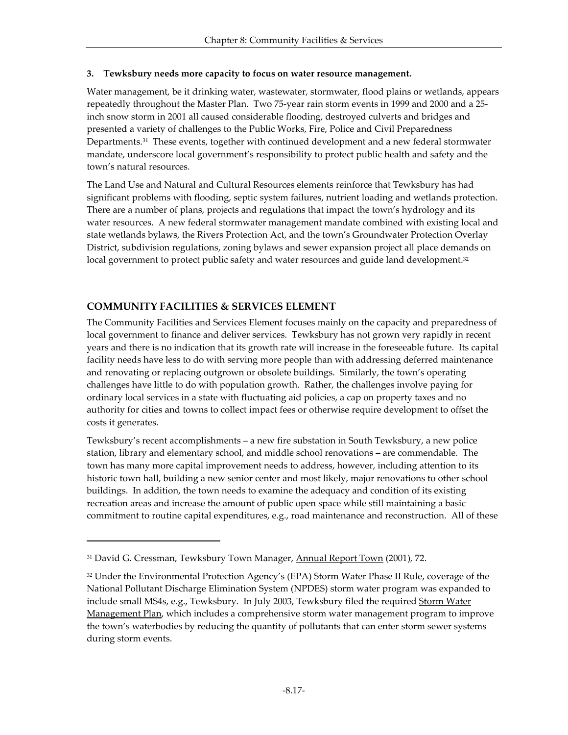#### **3. Tewksbury needs more capacity to focus on water resource management.**

Water management, be it drinking water, wastewater, stormwater, flood plains or wetlands, appears repeatedly throughout the Master Plan. Two 75-year rain storm events in 1999 and 2000 and a 25 inch snow storm in 2001 all caused considerable flooding, destroyed culverts and bridges and presented a variety of challenges to the Public Works, Fire, Police and Civil Preparedness Departments.31 These events, together with continued development and a new federal stormwater mandate, underscore local government's responsibility to protect public health and safety and the town's natural resources.

The Land Use and Natural and Cultural Resources elements reinforce that Tewksbury has had significant problems with flooding, septic system failures, nutrient loading and wetlands protection. There are a number of plans, projects and regulations that impact the town's hydrology and its water resources. A new federal stormwater management mandate combined with existing local and state wetlands bylaws, the Rivers Protection Act, and the town's Groundwater Protection Overlay District, subdivision regulations, zoning bylaws and sewer expansion project all place demands on local government to protect public safety and water resources and guide land development.<sup>32</sup>

## **COMMUNITY FACILITIES & SERVICES ELEMENT**

-

The Community Facilities and Services Element focuses mainly on the capacity and preparedness of local government to finance and deliver services. Tewksbury has not grown very rapidly in recent years and there is no indication that its growth rate will increase in the foreseeable future. Its capital facility needs have less to do with serving more people than with addressing deferred maintenance and renovating or replacing outgrown or obsolete buildings. Similarly, the town's operating challenges have little to do with population growth. Rather, the challenges involve paying for ordinary local services in a state with fluctuating aid policies, a cap on property taxes and no authority for cities and towns to collect impact fees or otherwise require development to offset the costs it generates.

Tewksbury's recent accomplishments – a new fire substation in South Tewksbury, a new police station, library and elementary school, and middle school renovations – are commendable. The town has many more capital improvement needs to address, however, including attention to its historic town hall, building a new senior center and most likely, major renovations to other school buildings. In addition, the town needs to examine the adequacy and condition of its existing recreation areas and increase the amount of public open space while still maintaining a basic commitment to routine capital expenditures, e.g., road maintenance and reconstruction. All of these

<sup>31</sup> David G. Cressman, Tewksbury Town Manager, Annual Report Town (2001)*,* 72.

<sup>32</sup> Under the Environmental Protection Agency's (EPA) Storm Water Phase II Rule, coverage of the National Pollutant Discharge Elimination System (NPDES) storm water program was expanded to include small MS4s, e.g., Tewksbury. In July 2003, Tewksbury filed the required Storm Water Management Plan, which includes a comprehensive storm water management program to improve the town's waterbodies by reducing the quantity of pollutants that can enter storm sewer systems during storm events.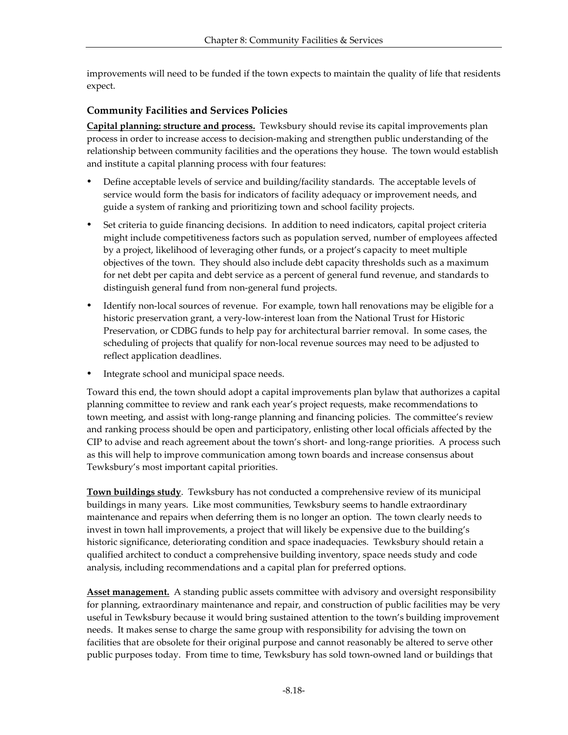improvements will need to be funded if the town expects to maintain the quality of life that residents expect.

## **Community Facilities and Services Policies**

**Capital planning: structure and process.** Tewksbury should revise its capital improvements plan process in order to increase access to decision-making and strengthen public understanding of the relationship between community facilities and the operations they house. The town would establish and institute a capital planning process with four features:

- Define acceptable levels of service and building/facility standards. The acceptable levels of service would form the basis for indicators of facility adequacy or improvement needs, and guide a system of ranking and prioritizing town and school facility projects.
- ü Set criteria to guide financing decisions. In addition to need indicators, capital project criteria might include competitiveness factors such as population served, number of employees affected by a project, likelihood of leveraging other funds, or a project's capacity to meet multiple objectives of the town. They should also include debt capacity thresholds such as a maximum for net debt per capita and debt service as a percent of general fund revenue, and standards to distinguish general fund from non-general fund projects.
- Identify non-local sources of revenue. For example, town hall renovations may be eligible for a historic preservation grant, a very-low-interest loan from the National Trust for Historic Preservation, or CDBG funds to help pay for architectural barrier removal. In some cases, the scheduling of projects that qualify for non-local revenue sources may need to be adjusted to reflect application deadlines.
- Integrate school and municipal space needs.

Toward this end, the town should adopt a capital improvements plan bylaw that authorizes a capital planning committee to review and rank each year's project requests, make recommendations to town meeting, and assist with long-range planning and financing policies. The committee's review and ranking process should be open and participatory, enlisting other local officials affected by the CIP to advise and reach agreement about the town's short- and long-range priorities. A process such as this will help to improve communication among town boards and increase consensus about Tewksbury's most important capital priorities.

**Town buildings study**. Tewksbury has not conducted a comprehensive review of its municipal buildings in many years. Like most communities, Tewksbury seems to handle extraordinary maintenance and repairs when deferring them is no longer an option. The town clearly needs to invest in town hall improvements, a project that will likely be expensive due to the building's historic significance, deteriorating condition and space inadequacies. Tewksbury should retain a qualified architect to conduct a comprehensive building inventory, space needs study and code analysis, including recommendations and a capital plan for preferred options.

**Asset management.** A standing public assets committee with advisory and oversight responsibility for planning, extraordinary maintenance and repair, and construction of public facilities may be very useful in Tewksbury because it would bring sustained attention to the town's building improvement needs. It makes sense to charge the same group with responsibility for advising the town on facilities that are obsolete for their original purpose and cannot reasonably be altered to serve other public purposes today. From time to time, Tewksbury has sold town-owned land or buildings that